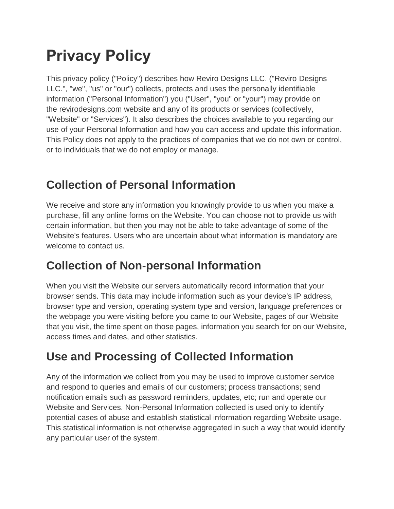# **Privacy Policy**

This privacy policy ("Policy") describes how Reviro Designs LLC. ("Reviro Designs LLC.", "we", "us" or "our") collects, protects and uses the personally identifiable information ("Personal Information") you ("User", "you" or "your") may provide on the [revirodesigns.com](https://www.revirodesigns.com/) website and any of its products or services (collectively, "Website" or "Services"). It also describes the choices available to you regarding our use of your Personal Information and how you can access and update this information. This Policy does not apply to the practices of companies that we do not own or control, or to individuals that we do not employ or manage.

#### **Collection of Personal Information**

We receive and store any information you knowingly provide to us when you make a purchase, fill any online forms on the Website. You can choose not to provide us with certain information, but then you may not be able to take advantage of some of the Website's features. Users who are uncertain about what information is mandatory are welcome to contact us.

#### **Collection of Non-personal Information**

When you visit the Website our servers automatically record information that your browser sends. This data may include information such as your device's IP address, browser type and version, operating system type and version, language preferences or the webpage you were visiting before you came to our Website, pages of our Website that you visit, the time spent on those pages, information you search for on our Website, access times and dates, and other statistics.

## **Use and Processing of Collected Information**

Any of the information we collect from you may be used to improve customer service and respond to queries and emails of our customers; process transactions; send notification emails such as password reminders, updates, etc; run and operate our Website and Services. Non-Personal Information collected is used only to identify potential cases of abuse and establish statistical information regarding Website usage. This statistical information is not otherwise aggregated in such a way that would identify any particular user of the system.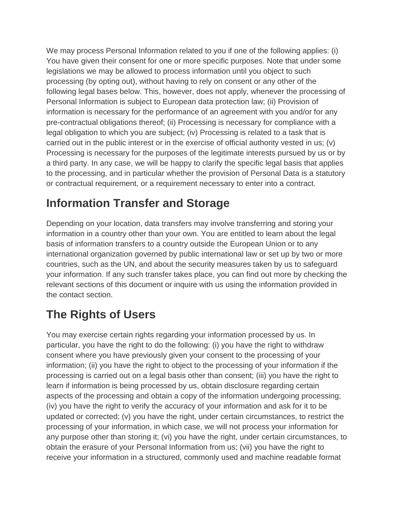We may process Personal Information related to you if one of the following applies: (i) You have given their consent for one or more specific purposes. Note that under some legislations we may be allowed to process information until you object to such processing (by opting out), without having to rely on consent or any other of the following legal bases below. This, however, does not apply, whenever the processing of Personal Information is subject to European data protection law; (ii) Provision of information is necessary for the performance of an agreement with you and/or for any pre-contractual obligations thereof; (ii) Processing is necessary for compliance with a legal obligation to which you are subject; (iv) Processing is related to a task that is carried out in the public interest or in the exercise of official authority vested in us; (v) Processing is necessary for the purposes of the legitimate interests pursued by us or by a third party. In any case, we will be happy to clarify the specific legal basis that applies to the processing, and in particular whether the provision of Personal Data is a statutory or contractual requirement, or a requirement necessary to enter into a contract.

#### **Information Transfer and Storage**

Depending on your location, data transfers may involve transferring and storing your information in a country other than your own. You are entitled to learn about the legal basis of information transfers to a country outside the European Union or to any international organization governed by public international law or set up by two or more countries, such as the UN, and about the security measures taken by us to safeguard your information. If any such transfer takes place, you can find out more by checking the relevant sections of this document or inquire with us using the information provided in the contact section.

## **The Rights of Users**

You may exercise certain rights regarding your information processed by us. In particular, you have the right to do the following: (i) you have the right to withdraw consent where you have previously given your consent to the processing of your information; (ii) you have the right to object to the processing of your information if the processing is carried out on a legal basis other than consent; (iii) you have the right to learn if information is being processed by us, obtain disclosure regarding certain aspects of the processing and obtain a copy of the information undergoing processing; (iv) you have the right to verify the accuracy of your information and ask for it to be updated or corrected; (v) you have the right, under certain circumstances, to restrict the processing of your information, in which case, we will not process your information for any purpose other than storing it; (vi) you have the right, under certain circumstances, to obtain the erasure of your Personal Information from us; (vii) you have the right to receive your information in a structured, commonly used and machine readable format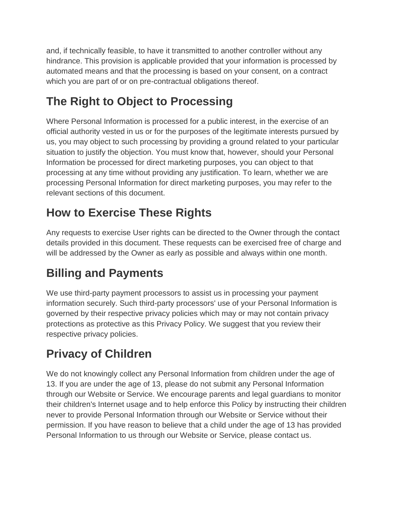and, if technically feasible, to have it transmitted to another controller without any hindrance. This provision is applicable provided that your information is processed by automated means and that the processing is based on your consent, on a contract which you are part of or on pre-contractual obligations thereof.

## **The Right to Object to Processing**

Where Personal Information is processed for a public interest, in the exercise of an official authority vested in us or for the purposes of the legitimate interests pursued by us, you may object to such processing by providing a ground related to your particular situation to justify the objection. You must know that, however, should your Personal Information be processed for direct marketing purposes, you can object to that processing at any time without providing any justification. To learn, whether we are processing Personal Information for direct marketing purposes, you may refer to the relevant sections of this document.

# **How to Exercise These Rights**

Any requests to exercise User rights can be directed to the Owner through the contact details provided in this document. These requests can be exercised free of charge and will be addressed by the Owner as early as possible and always within one month.

# **Billing and Payments**

We use third-party payment processors to assist us in processing your payment information securely. Such third-party processors' use of your Personal Information is governed by their respective privacy policies which may or may not contain privacy protections as protective as this Privacy Policy. We suggest that you review their respective privacy policies.

# **Privacy of Children**

We do not knowingly collect any Personal Information from children under the age of 13. If you are under the age of 13, please do not submit any Personal Information through our Website or Service. We encourage parents and legal guardians to monitor their children's Internet usage and to help enforce this Policy by instructing their children never to provide Personal Information through our Website or Service without their permission. If you have reason to believe that a child under the age of 13 has provided Personal Information to us through our Website or Service, please contact us.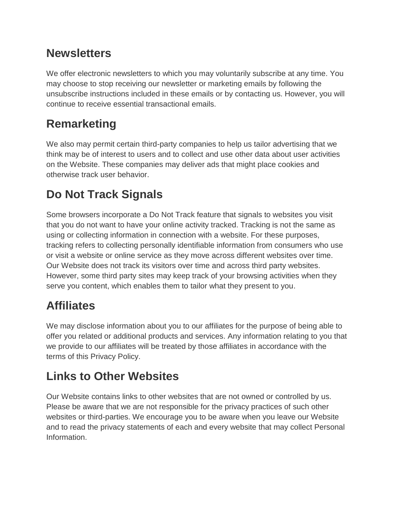#### **Newsletters**

We offer electronic newsletters to which you may voluntarily subscribe at any time. You may choose to stop receiving our newsletter or marketing emails by following the unsubscribe instructions included in these emails or by contacting us. However, you will continue to receive essential transactional emails.

## **Remarketing**

We also may permit certain third-party companies to help us tailor advertising that we think may be of interest to users and to collect and use other data about user activities on the Website. These companies may deliver ads that might place cookies and otherwise track user behavior.

# **Do Not Track Signals**

Some browsers incorporate a Do Not Track feature that signals to websites you visit that you do not want to have your online activity tracked. Tracking is not the same as using or collecting information in connection with a website. For these purposes, tracking refers to collecting personally identifiable information from consumers who use or visit a website or online service as they move across different websites over time. Our Website does not track its visitors over time and across third party websites. However, some third party sites may keep track of your browsing activities when they serve you content, which enables them to tailor what they present to you.

#### **Affiliates**

We may disclose information about you to our affiliates for the purpose of being able to offer you related or additional products and services. Any information relating to you that we provide to our affiliates will be treated by those affiliates in accordance with the terms of this Privacy Policy.

## **Links to Other Websites**

Our Website contains links to other websites that are not owned or controlled by us. Please be aware that we are not responsible for the privacy practices of such other websites or third-parties. We encourage you to be aware when you leave our Website and to read the privacy statements of each and every website that may collect Personal Information.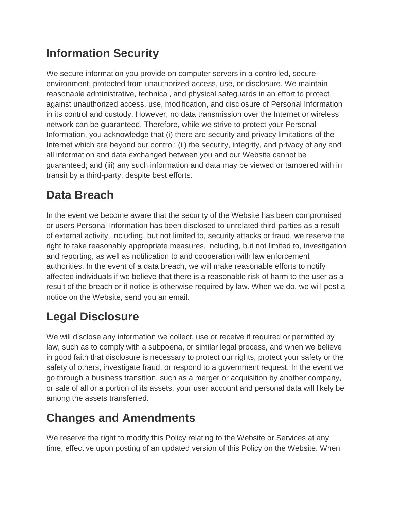## **Information Security**

We secure information you provide on computer servers in a controlled, secure environment, protected from unauthorized access, use, or disclosure. We maintain reasonable administrative, technical, and physical safeguards in an effort to protect against unauthorized access, use, modification, and disclosure of Personal Information in its control and custody. However, no data transmission over the Internet or wireless network can be guaranteed. Therefore, while we strive to protect your Personal Information, you acknowledge that (i) there are security and privacy limitations of the Internet which are beyond our control; (ii) the security, integrity, and privacy of any and all information and data exchanged between you and our Website cannot be guaranteed; and (iii) any such information and data may be viewed or tampered with in transit by a third-party, despite best efforts.

# **Data Breach**

In the event we become aware that the security of the Website has been compromised or users Personal Information has been disclosed to unrelated third-parties as a result of external activity, including, but not limited to, security attacks or fraud, we reserve the right to take reasonably appropriate measures, including, but not limited to, investigation and reporting, as well as notification to and cooperation with law enforcement authorities. In the event of a data breach, we will make reasonable efforts to notify affected individuals if we believe that there is a reasonable risk of harm to the user as a result of the breach or if notice is otherwise required by law. When we do, we will post a notice on the Website, send you an email.

# **Legal Disclosure**

We will disclose any information we collect, use or receive if required or permitted by law, such as to comply with a subpoena, or similar legal process, and when we believe in good faith that disclosure is necessary to protect our rights, protect your safety or the safety of others, investigate fraud, or respond to a government request. In the event we go through a business transition, such as a merger or acquisition by another company, or sale of all or a portion of its assets, your user account and personal data will likely be among the assets transferred.

#### **Changes and Amendments**

We reserve the right to modify this Policy relating to the Website or Services at any time, effective upon posting of an updated version of this Policy on the Website. When